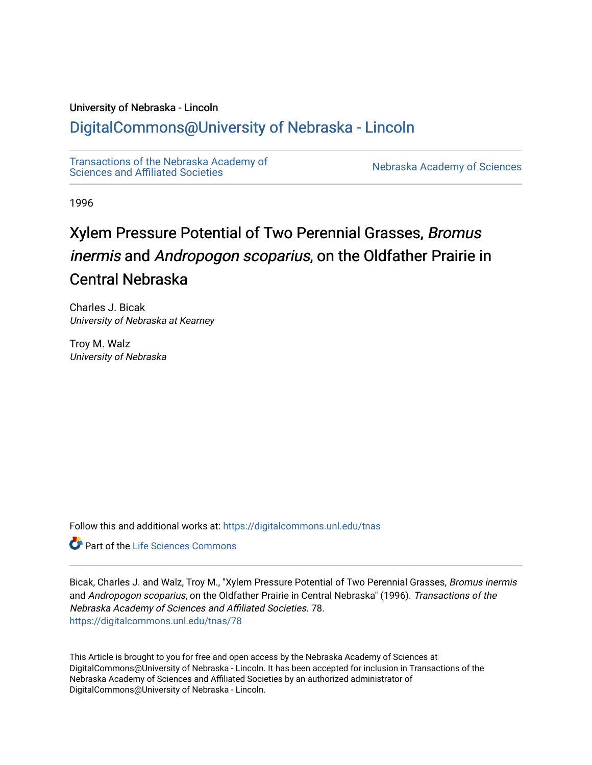## University of Nebraska - Lincoln

# [DigitalCommons@University of Nebraska - Lincoln](https://digitalcommons.unl.edu/)

[Transactions of the Nebraska Academy of](https://digitalcommons.unl.edu/tnas)  Transactions of the Nebraska Academy of Sciences<br>Sciences and Affiliated Societies

1996

# Xylem Pressure Potential of Two Perennial Grasses, Bromus inermis and Andropogon scoparius, on the Oldfather Prairie in Central Nebraska

Charles J. Bicak University of Nebraska at Kearney

Troy M. Walz University of Nebraska

Follow this and additional works at: [https://digitalcommons.unl.edu/tnas](https://digitalcommons.unl.edu/tnas?utm_source=digitalcommons.unl.edu%2Ftnas%2F78&utm_medium=PDF&utm_campaign=PDFCoverPages) 

**Part of the Life Sciences Commons** 

Bicak, Charles J. and Walz, Troy M., "Xylem Pressure Potential of Two Perennial Grasses, Bromus inermis and Andropogon scoparius, on the Oldfather Prairie in Central Nebraska" (1996). Transactions of the Nebraska Academy of Sciences and Affiliated Societies. 78. [https://digitalcommons.unl.edu/tnas/78](https://digitalcommons.unl.edu/tnas/78?utm_source=digitalcommons.unl.edu%2Ftnas%2F78&utm_medium=PDF&utm_campaign=PDFCoverPages)

This Article is brought to you for free and open access by the Nebraska Academy of Sciences at DigitalCommons@University of Nebraska - Lincoln. It has been accepted for inclusion in Transactions of the Nebraska Academy of Sciences and Affiliated Societies by an authorized administrator of DigitalCommons@University of Nebraska - Lincoln.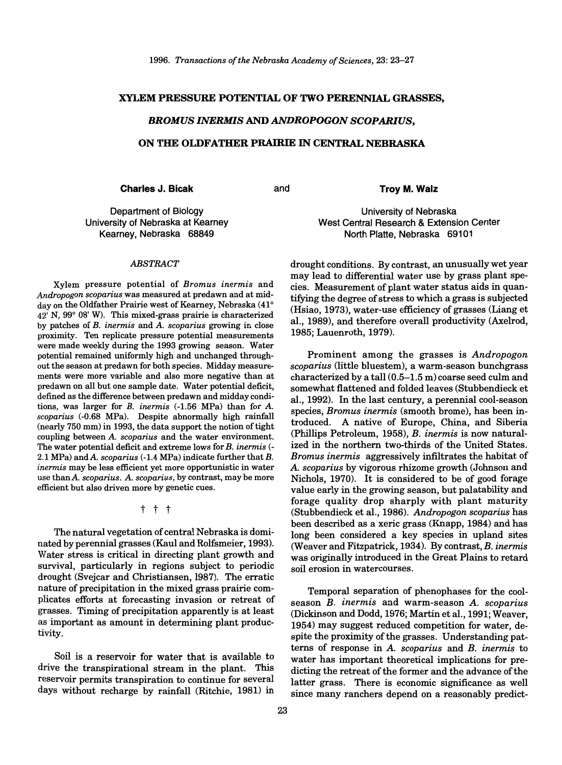#### XYLEM PRESSURE POTENTIAL OF TWO PERENNIAL GRASSES,

#### *BROMUS INERMIS* AND *ANDROPOGON SCOPARIUS,*

#### ON THE OLDFATHER PRAIRIE IN CENTRAL NEBRASKA

Charles J. Bicak and

Troy M. Walz

Department of Biology University of Nebraska at Kearney Kearney, Nebraska 68849

#### *ABSTRACT*

Xylem pressure potential of *Bromus inermis* and *Andropogon scoparius* was measured at predawn and at midday on the Oldfather Prairie west of Kearney, Nebraska (41°  $42'$  N,  $99^{\circ}$  08' W). This mixed-grass prairie is characterized by patches of B. *inermis* and *A. scoparius* growing in close proximity. Ten replicate pressure potential measurements were made weekly during the 1993 growing season. Water potential remained uniformly high and unchanged throughout the season at predawn for both species. Midday measurements were more variable and also more negative than at predawn on all but one sample date. Water potential deficit, defined as the difference between predawn and midday conditions, was larger for B. *inermis* (-1.56 MPa) than for *A. scoparius* (-0.68 MPa). Despite abnormally high rainfall  $($ nearly  $750$  mm $)$  in 1993, the data support the notion of tight coupling between *A. scoparius* and the water environment. The water potential deficit and extreme lows for *B. inermis* (- 2.1 MPa) and *A. scoparius* (-1.4 MPa) indicate further that B. *inermis* may be less efficient yet more opportunistic in water use thanA. *scoparius. A. scoparius,* by contrast, may be more efficient but also driven more by genetic cues.

t t t

The natural vegetation of central Nebraska is dominated by perennial grasses (Kaul and Rolfsmeier, 1993). Water stress is critical in directing plant growth and survival, particularly in regions subject to periodic drought (Svejcar and Christiansen, 1987). The erratic nature of precipitation in the mixed grass prairie complicates efforts at forecasting invasion or retreat of grasses. Timing of precipitation apparently is at least as important as amount in determining plant productivity.

Soil is a reservoir for water that is available to drive the transpirational stream in the plant. This reservoir permits transpiration to continue for several days without recharge by rainfall (Ritchie, 1981) in

University of Nebraska West Central Research & Extension Center North Platte, Nebraska 69101

drought conditions. By contrast, an unusually wet year may lead to differential water use by grass plant species. Measurement of plant water status aids in quantifying the degree of stress to which a grass is subjected (Hsiao, 1973), water-use efficiency of grasses (Liang et aI., 1989), and therefore overall productivity (Axelrod, 1985; Lauenroth, 1979).

Prominent among the grasses is *Andropogon scoparius* (little bluestem), a warm-season bunchgrass characterized by a tall (0.5-1.5 m) coarse seed culm and somewhat flattened and folded leaves (Stubbendieck et aI., 1992). In the last century, a perennial cool-season species, *Bromus inermis* (smooth brome), has been introduced. A native of Europe, China, and Siberia (Phillips Petroleum, 1958), *B. inermis* is now naturalized in the northern two-thirds of the United States. *Bromus inermis* aggressively infiltrates the habitat of *A. scoparius* by vigorous rhizome growth (Johnson and Nichols, 1970). It is considered to be of good forage value early in the growing season, but palatability and forage quality drop sharply with plant maturity (Stubbendieck et aI., 1986). *Andropogon scoparius* has been described as a xeric grass (Knapp, 1984) and has long been considered a key species in upland sites (Weaver and Fitzpatrick, 1934). By contrast, *B. inermis*  was originally introduced in the Great Plains to retard soil erosion in watercourses.

Temporal separation of phenophases for the coolseason *B. inermis* and warm-season *A. scoparius*  (Dickinson and Dodd, 1976; Martin et al., 1991; Weaver, 1954) may suggest reduced competition for water, despite the proximity of the grasses. Understanding patterns of response in *A. scoparius* and *B. inermis* to water has important theoretical implications for predicting the retreat of the former and the advance of the latter grass. There is economic significance as well since many ranchers depend on a reasonably predict-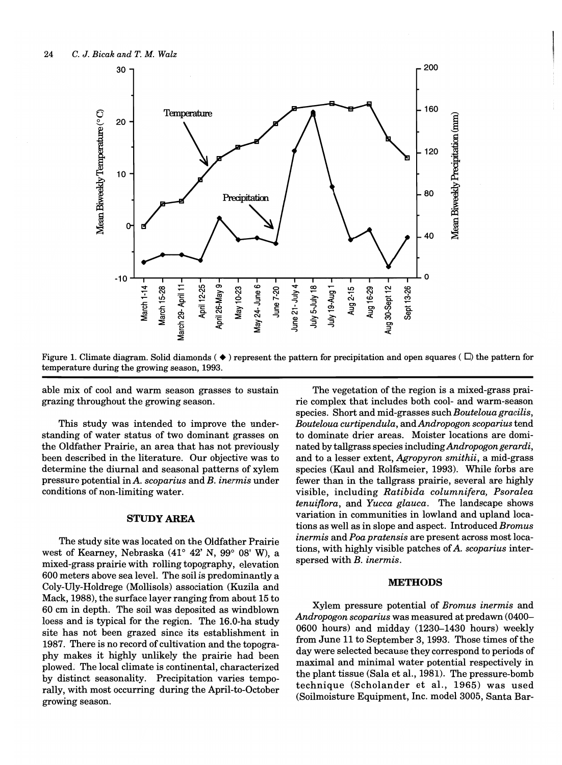

Figure 1. Climate diagram. Solid diamonds ( $\bullet$ ) represent the pattern for precipitation and open squares ( $\Box$ ) the pattern for temperature during the growing season, 1993.

able mix of cool and warm season grasses to sustain grazing throughout the growing season.

This study was intended to improve the understanding of water status of two dominant grasses on the Oldfather Prairie, an area that has not previously been described in the literature. Our objective was to determine the diurnal and seasonal patterns of xylem pressure potential in  $A$ . scoparius and  $B$ . inermis under conditions of non-limiting water.

#### **STUDY AREA**

The study site was located on the Oldfather Prairie west of Kearney, Nebraska (41° 42' N, 99° 08' W), a mixed-grass prairie with rolling topography, elevation 600 meters above sea level. The soil is predominantly a Coly-Uly-Holdrege (Mollisols) association (Kuzila and Mack, 1988), the surface layer ranging from about 15 to 60 cm in depth. The soil was deposited as windblown loess and is typical for the region. The 16.0-ha study site has not been grazed since its establishment in 1987. There is no record of cultivation and the topography makes it highly unlikely the prairie had been plowed. The local climate is continental, characterized by distinct seasonality. Precipitation varies temporally, with most occurring during the April-to-October growing season.

The vegetation of the region is a mixed-grass prairie complex that includes both cool- and warm-season species. Short and mid-grasses such Bouteloua gracilis, Bouteloua curtipendula, and Andropogon scoparius tend to dominate drier areas. Moister locations are dominated by tallgrass species including Andropogon gerardi, and to a lesser extent, Agropyron smithii, a mid-grass species (Kaul and Rolfsmeier, 1993). While forbs are fewer than in the tallgrass prairie, several are highly visible, including Ratibida columnifera, Psoralea *tenuiflora*, and Yucca glauca. The landscape shows variation in communities in lowland and upland locations as well as in slope and aspect. Introduced Bromus inermis and Poa pratensis are present across most locations, with highly visible patches of A. scoparius interspersed with B. inermis.

### **METHODS**

Xylem pressure potential of Bromus inermis and Andropogon scoparius was measured at predawn (0400– 0600 hours) and midday (1230-1430 hours) weekly from June 11 to September 3, 1993. Those times of the day were selected because they correspond to periods of maximal and minimal water potential respectively in the plant tissue (Sala et al., 1981). The pressure-bomb technique (Scholander et al., 1965) was used (Soilmoisture Equipment, Inc. model 3005, Santa Bar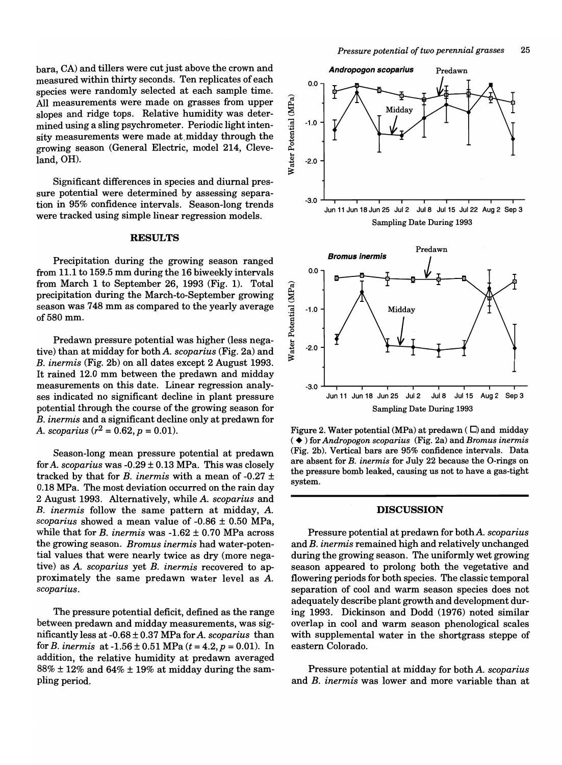bara, CA) and tillers were cut just above the crown and measured within thirty seconds. Ten replicates of each species were randomly selected at each sample time. All measurements were made on grasses from upper slopes and ridge tops. Relative humidity was determined using a sling psychrometer. Periodic light intensity measurements were made at.midday through the growing season (General Electric, model 214, Cleveland, OH).

Significant differences in species and diurnal pressure potential were determined by assessing separation in 95% confidence intervals. Season-long trends were tracked using simple linear regression models.

#### **RESULTS**

Precipitation during the growing season ranged from 11.1 to 159.5 mm during the 16 biweekly intervals from March 1 to September 26, 1993 (Fig. 1). Total precipitation during the March-to-September growing season was 748 mm as compared to the yearly average of580mm.

Predawn pressure potential was higher (less negative) than at midday for both *A. scoparius* (Fig. 2a) and B. *inermis* (Fig. 2b) on all dates except 2 August 1993. It rained 12.0 mm between the predawn and midday measurements on this date. Linear regression analyses indicated no significant decline in plant pressure potential through the course of the growing season for B. *inermis* and a significant decline only at predawn for *A. scoparius*  $(r^2 = 0.62, p = 0.01)$ .

Season-long mean pressure potential at predawn for *A. scoparius* was -0.29 ± 0.13 MPa. This was closely tracked by that for *B*. *inermis* with a mean of  $-0.27 \pm$ 0.18 MPa. The most deviation occurred on the rain day 2 August 1993. Alternatively, while *A. scoparius* and B. *inermis* follow the same pattern at midday, *A. scoparius* showed a mean value of -0.86 ± 0.50 MPa, while that for B. *inermis* was -1.62 ± 0.70 MPa across the growing season. *Bromus inermis* had water-potential values that were nearly twice as dry (more negative) as *A. scoparius* yet B. *inermis* recovered to approximately the same predawn water level as *A. scoparius.* 

The pressure potential deficit, defined as the range between predawn and midday measurements, was significantly less at -0.68 ± 0.37 MPa for *A. scoparius* than for *B. inermis* at  $-1.56 \pm 0.51$  MPa ( $t = 4.2$ ,  $p = 0.01$ ). In addition, the relative humidity at predawn averaged  $88\% \pm 12\%$  and  $64\% \pm 19\%$  at midday during the sampling period.



Jun 11 Jun 18 Jun 25 Jul2 Jul8 Jul15 Aug 2 Sap 3 Sampling Date During 1993

Figure 2. Water potential (MPa) at predawn ( $\square$ ) and midday ( • ) for *Andropogon scoparius* (Fig. 2a) and *Bromus inermis*  (Fig. 2b). Vertical bars are 95% confidence intervals. Data are absent for *B. inermis* for July 22 because the O-rings on the pressure bomb leaked, causing us not to have a gas-tight system.

#### DISCUSSION

Pressure potential at predawn for bothA. *scoparius*  and B. *inermis* remained high and relatively unchanged during the growing season. The uniformly wet growing season appeared to prolong both the vegetative and flowering periods for both species. The classic temporal separation of cool and warm season species does not adequately describe plant growth and development during 1993. Dickinson and Dodd (1976) noted similar overlap in cool and warm season phenological scales with supplemental water in the shortgrass steppe of eastern Colorado.

Pressure potential at midday for both *A. scoparius*  and B. *inermis* was lower and more variable than at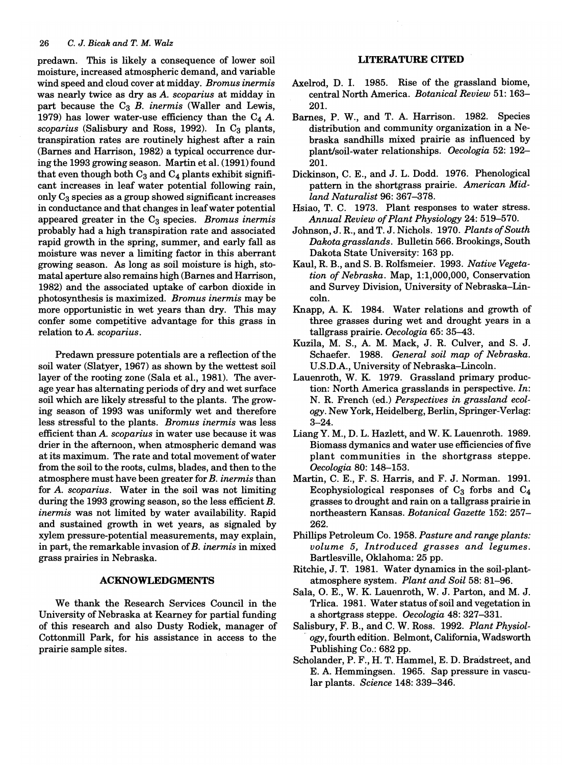predawn. This is likely a consequence of lower soil moisture, increased atmospheric demand, and variable wind speed and cloud cover at midday. *Bromus inermis*  was nearly twice as dry as *A. scoparius* at midday in part because the C<sub>3</sub> *B. inermis* (Waller and Lewis, 1979) has lower water-use efficiency than the  $C_4$   $A$ . *scoparius* (Salisbury and Ross, 1992). In C<sub>3</sub> plants, transpiration rates are routinely highest after a rain (Barnes and Harrison, 1982) a typical occurrence during the 1993 growing season. Martin et al. (1991) found that even though both  $C_3$  and  $C_4$  plants exhibit significant increases in leaf water potential following rain, only  $C_3$  species as a group showed significant increases in conductance and that changes in leaf water potential appeared greater in the C<sub>3</sub> species. *Bromus inermis* probably had a high transpiration rate and associated rapid growth in the spring, summer, and early fall as moisture was never a limiting factor in this aberrant growing season. As long as soil moisture is high, stomatal aperture also remains high (Barnes and Harrison, 1982) and the associated uptake of carbon dioxide in photosynthesis is maximized. *Bromus inermis* may be more opportunistic in wet years than dry. This may confer some competitive advantage for this grass in relation to *A. scoparius.* 

Predawn pressure potentials are a reflection of the soil water (Slatyer, 1967) as shown by the wettest soil layer of the rooting zone (Sala et al., 1981). The average year has alternating periods of dry and wet surface soil which are likely stressful to the plants. The growing season of 1993 was uniformly wet and therefore less stressful to the plants. *Bromus inermis* was less efficient than *A. scoparius* in water use because it was drier in the afternoon, when atmospheric demand was at its maximum. The rate and total movement of water from the soil to the roots, culms, blades, and then to the atmosphere must have been greater for *B. inermis* than for *A. scoparius.* Water in the soil was not limiting during the 1993 growing season, so the less efficient *B. inermis* was not limited by water availability. Rapid and sustained growth in wet years, as signaled by xylem pressure-potential measurements, may explain, in part, the remarkable invasion of *B. inermis* in mixed grass prairies in Nebraska.

#### **ACKNOWLEDGMENTS**

We thank the Research Services Council in the University of Nebraska at Kearney for partial funding of this research and also Dusty Rodiek, manager of Cottonmill Park, for his assistance in access to the prairie sample sites.

### **LITERATURE CITED**

- Axelrod, D. I. 1985. Rise of the grassland biome, central North America. *Botanical Review* 51: 163- 20l.
- Barnes, P. W., and T. A. Harrison. 1982. Species distribution and community organization in a Nebraska sandhills mixed prairie as influenced by plantJsoil-water relationships. *Oecologia* 52: 192- 201.
- Dickinson, C. E., and J. L. Dodd. 1976. Phenological pattern in the shortgrass prairie. *American Midland Naturalist* 96: 367-378.
- Hsiao, T. C. 1973. Plant responses to water stress. *Annual Review of Plant Physiology* 24: 519-570.
- Johnson, J. R., and T. J. Nichols. 1970. *Plants of South Dakota grasslands.* Bulletin 566. Brookings, South Dakota State University: 163 pp.
- Kaul, R. B., and S. B. Rolfsmeier. 1993. *Native Vegetation of Nebraska.* Map, 1:1,000,000, Conservation and Survey Division, University of Nebraska-LincoIn.
- Knapp, A. K. 1984. Water relations and growth of three grasses during wet and drought years in a tallgrass prairie. *Oecologia* 65: 35-43.
- Kuzila, M. S., A. M. Mack, J. R. Culver, and S. J. Schaefer. 1988. *General soil map of Nebraska.*  U.S.D.A., University of Nebraska-Lincoln.
- Lauenroth, W. K. 1979. Grassland primary production: North America grasslands in perspective. *In:*  N. R. French (ed.) *Perspectives in grassland ecology.* New York, Heidelberg, Berlin, Springer-Verlag: 3-24.
- LiangY. M., D. L. Hazlett, and W. K. Lauenroth. 1989. Biomass dymanics and water use efficiencies of five plant communities in the shortgrass steppe. *Oecologia* 80: 148-153.
- Martin, C. E., F. S. Harris, and F. J. Norman. 1991. Ecophysiological responses of  $C_3$  forbs and  $C_4$ grasses to drought and rain on a tallgrass prairie in northeastern Kansas. *Botanical Gazette* 152: 257- 262.
- Phillips Petroleum Co. 1958. *Pasture and range plants: volume* 5, *Introduced grasses and legumes.*  Bartlesville, Oklahoma: 25 pp.
- Ritchie, J. T. 1981. Water dynamics in the soil-plantatmosphere system. *Plant and Soil* 58: 81-96.
- Sala, O. E., W. K. Lauenroth, W. J. Parton, and M. J. Trlica. 1981. Water status of soil and vegetation in a shortgrass steppe. *Oecologia* 48: 327-331.
- Salisbury, F. B., and C. W. Ross. 1992. *Plant Physiol-* , *ogy,* fourth edition. Belmont, California, Wadsworth Publishing Co.: 682 pp.
- Scholander, P. F., H. T. Hammel, E. D. Bradstreet, and E. A. Hemmingsen. 1965. Sap pressure in vascular plants. *Science* 148: 339-346.